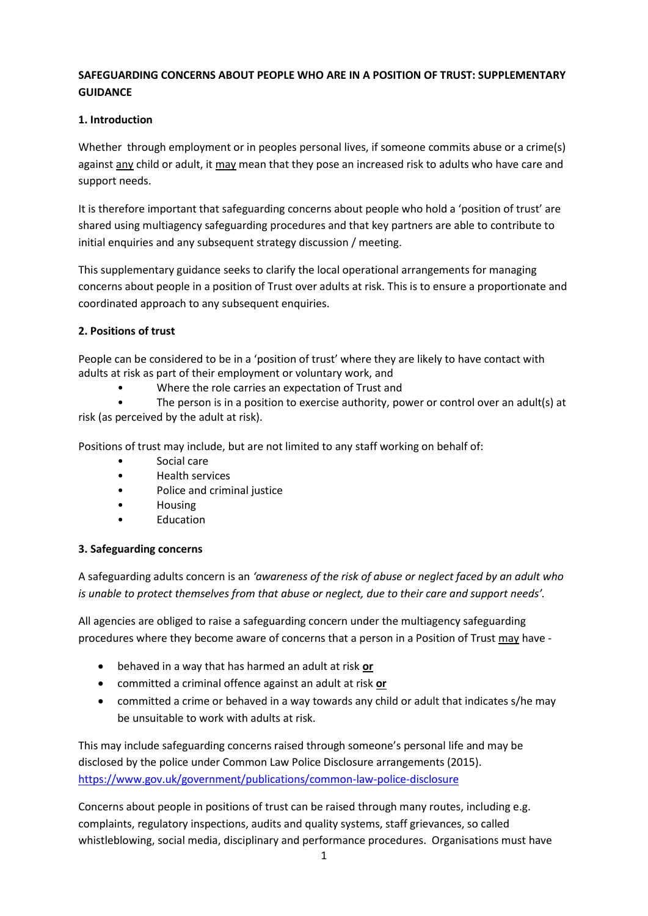## **SAFEGUARDING CONCERNS ABOUT PEOPLE WHO ARE IN A POSITION OF TRUST: SUPPLEMENTARY GUIDANCE**

### **1. Introduction**

Whether through employment or in peoples personal lives, if someone commits abuse or a crime(s) against any child or adult, it may mean that they pose an increased risk to adults who have care and support needs.

It is therefore important that safeguarding concerns about people who hold a 'position of trust' are shared using multiagency safeguarding procedures and that key partners are able to contribute to initial enquiries and any subsequent strategy discussion / meeting.

This supplementary guidance seeks to clarify the local operational arrangements for managing concerns about people in a position of Trust over adults at risk. This is to ensure a proportionate and coordinated approach to any subsequent enquiries.

## **2. Positions of trust**

People can be considered to be in a 'position of trust' where they are likely to have contact with adults at risk as part of their employment or voluntary work, and

• Where the role carries an expectation of Trust and

• The person is in a position to exercise authority, power or control over an adult(s) at risk (as perceived by the adult at risk).

Positions of trust may include, but are not limited to any staff working on behalf of:

- Social care
- Health services
- Police and criminal justice
- Housing
- Education

#### **3. Safeguarding concerns**

A safeguarding adults concern is an *'awareness of the risk of abuse or neglect faced by an adult who is unable to protect themselves from that abuse or neglect, due to their care and support needs'.*

All agencies are obliged to raise a safeguarding concern under the multiagency safeguarding procedures where they become aware of concerns that a person in a Position of Trust may have -

- behaved in a way that has harmed an adult at risk **or**
- committed a criminal offence against an adult at risk **or**
- committed a crime or behaved in a way towards any child or adult that indicates s/he may be unsuitable to work with adults at risk.

This may include safeguarding concerns raised through someone's personal life and may be disclosed by the police under Common Law Police Disclosure arrangements (2015). <https://www.gov.uk/government/publications/common-law-police-disclosure>

Concerns about people in positions of trust can be raised through many routes, including e.g. complaints, regulatory inspections, audits and quality systems, staff grievances, so called whistleblowing, social media, disciplinary and performance procedures. Organisations must have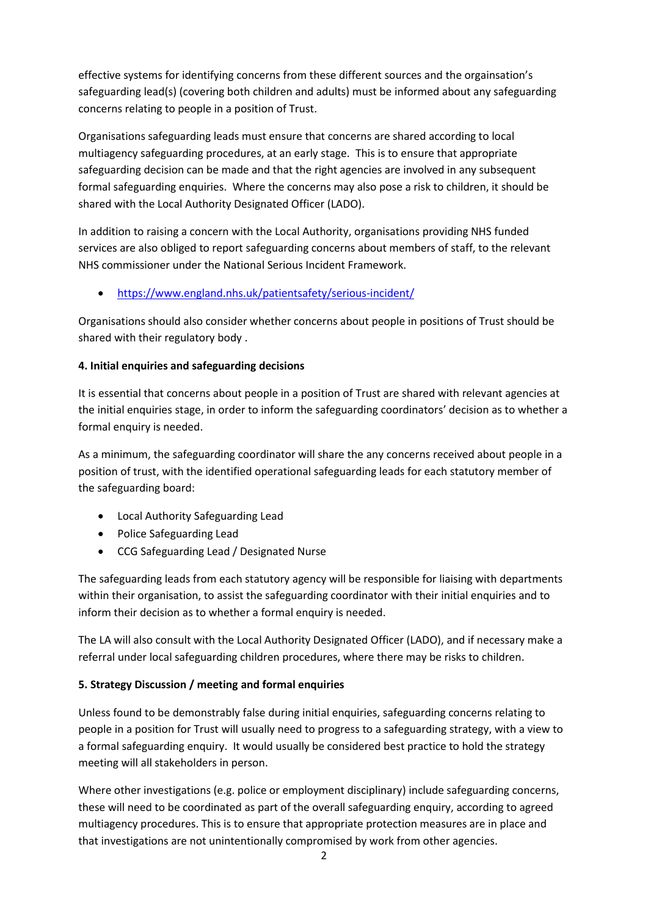effective systems for identifying concerns from these different sources and the orgainsation's safeguarding lead(s) (covering both children and adults) must be informed about any safeguarding concerns relating to people in a position of Trust.

Organisations safeguarding leads must ensure that concerns are shared according to local multiagency safeguarding procedures, at an early stage. This is to ensure that appropriate safeguarding decision can be made and that the right agencies are involved in any subsequent formal safeguarding enquiries. Where the concerns may also pose a risk to children, it should be shared with the Local Authority Designated Officer (LADO).

In addition to raising a concern with the Local Authority, organisations providing NHS funded services are also obliged to report safeguarding concerns about members of staff, to the relevant NHS commissioner under the National Serious Incident Framework.

<https://www.england.nhs.uk/patientsafety/serious-incident/>

Organisations should also consider whether concerns about people in positions of Trust should be shared with their regulatory body .

# **4. Initial enquiries and safeguarding decisions**

It is essential that concerns about people in a position of Trust are shared with relevant agencies at the initial enquiries stage, in order to inform the safeguarding coordinators' decision as to whether a formal enquiry is needed.

As a minimum, the safeguarding coordinator will share the any concerns received about people in a position of trust, with the identified operational safeguarding leads for each statutory member of the safeguarding board:

- Local Authority Safeguarding Lead
- Police Safeguarding Lead
- CCG Safeguarding Lead / Designated Nurse

The safeguarding leads from each statutory agency will be responsible for liaising with departments within their organisation, to assist the safeguarding coordinator with their initial enquiries and to inform their decision as to whether a formal enquiry is needed.

The LA will also consult with the Local Authority Designated Officer (LADO), and if necessary make a referral under local safeguarding children procedures, where there may be risks to children.

# **5. Strategy Discussion / meeting and formal enquiries**

Unless found to be demonstrably false during initial enquiries, safeguarding concerns relating to people in a position for Trust will usually need to progress to a safeguarding strategy, with a view to a formal safeguarding enquiry. It would usually be considered best practice to hold the strategy meeting will all stakeholders in person.

Where other investigations (e.g. police or employment disciplinary) include safeguarding concerns, these will need to be coordinated as part of the overall safeguarding enquiry, according to agreed multiagency procedures. This is to ensure that appropriate protection measures are in place and that investigations are not unintentionally compromised by work from other agencies.